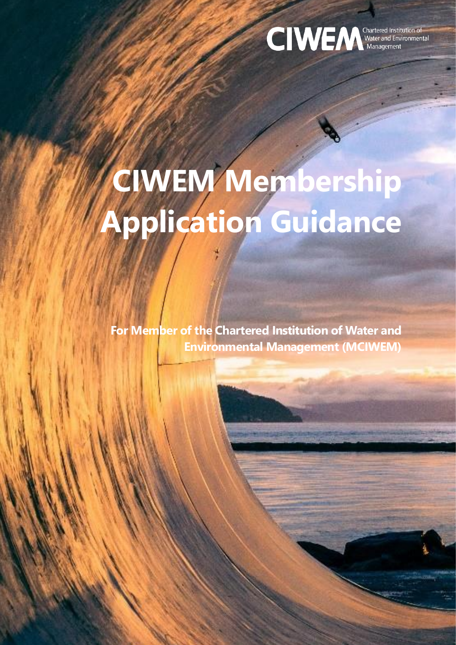

# **CIWEM Membership Application Guidance**

**For Member of the Chartered Institution of Water and Environmental Management (MCIWEM)**

CIWEM, 106 Safer Hill, London, EC1N 8QS. Charity Registration No. 1043409 (England & Wales) SC038212 (Scotland) membership and membership and membership and membership and membership and membership and membership and membership and membership and membership and membership and membership and membership and membership and membership a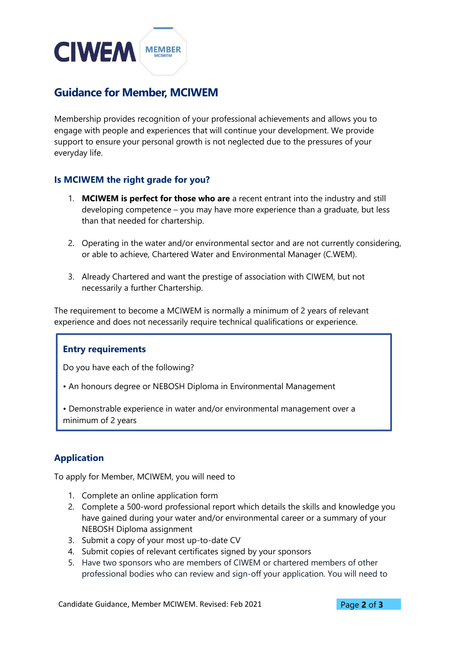## **CIWEM MEMBER**

### **Guidance for Member, MCIWEM**

Membership provides recognition of your professional achievements and allows you to engage with people and experiences that will continue your development. We provide support to ensure your personal growth is not neglected due to the pressures of your everyday life.

#### **Is MCIWEM the right grade for you?**

- 1. **MCIWEM is perfect for those who are** a recent entrant into the industry and still developing competence – you may have more experience than a graduate, but less than that needed for chartership.
- 2. Operating in the water and/or environmental sector and are not currently considering, or able to achieve, Chartered Water and Environmental Manager (C.WEM).
- 3. Already Chartered and want the prestige of association with CIWEM, but not necessarily a further Chartership.

The requirement to become a MCIWEM is normally a minimum of 2 years of relevant experience and does not necessarily require technical qualifications or experience.

#### **Entry requirements**

Do you have each of the following?

• An honours degree or NEBOSH Diploma in Environmental Management

• Demonstrable experience in water and/or environmental management over a minimum of 2 years

#### **Application**

To apply for Member, MCIWEM, you will need to

- 1. Complete an online application form
- 2. Complete a 500-word professional report which details the skills and knowledge you have gained during your water and/or environmental career or a summary of your NEBOSH Diploma assignment
- 3. Submit a copy of your most up-to-date CV
- 4. Submit copies of relevant certificates signed by your sponsors
- 5. Have two sponsors who are members of CIWEM or chartered members of other professional bodies who can review and sign-off your application. You will need to